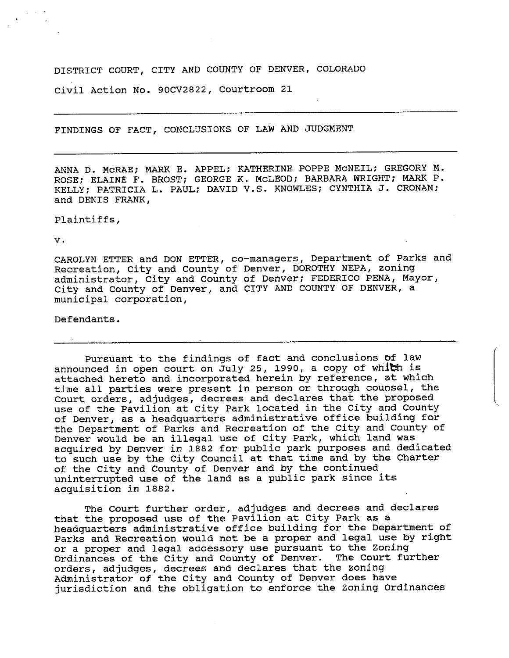## DISTRICT COURT, CITY AND COUNTY OF DENVER, COLORADO

Civil Action No. 90CV2822, Courtroom 21

FINDINGS OF FACT, CONCLUSIONS OF LAW AND JUDGMENT

ANNA D. McRAE; MARK E. APPEL; KATHERINE POPPE McNEIL; GREGORY M. ROSE; ELAINE F. BROST; GEORGE K, McLEOD; BARBARA WRIGHT; MARK P. KELLY; PATRICIA L. PAUL; DAVID V.S. KNOWLES; CYNTHIA J. CRONAN; and DENIS FRANK,

## Plaintiffs,

V.

CAROLYN ETTER and DON ETTER, co-managers. Department of Parks and Recreation, City and County of Denver, DOROTHY NEPA, zoning administrator. City and County of Denver; FEDERICO PENA, Mayor, City and County of Denver, and CITY AND COUNTY OF DENVER, a municipal corporation.

## Defendants.

Pursuant to the findings of fact and conclusions of law announced in open court on  $\tilde{J}$ uly 25, 1990, a copy of whith is attached hereto and incorporated herein by reference, at which time all parties were present in person or through counsel, the Court orders, adjudges, decrees and declares that the proposed use of the Pavilion at City Park located in the City and County of Denver, as a headquarters administrative office building for the Department of Parks and Recreation of the City and County of Denver would be an illegal use of City Park, which land was acquired by Denver in 1882 for public park purposes and dedicated to such use by the City Council at that time and by the Charter of the City and County of Denver and by the continued uninterrupted use of the land as a public park since its acquisition in 1882.

The Court further order, adjudges and decrees and declares that the proposed use of the Pavilion at City Park as a headquarters administrative office building for the Department of Parks and Recreation would not be a proper and legal use by right or a proper and legal accessory use pursuant to the Zoning Ordinances of the City and County of Denver. The Court further orders, adjudges, decrees and declares that the zoning Administrator of the City and County of Denver does have jurisdiction and the obligation to enforce the Zoning Ordinances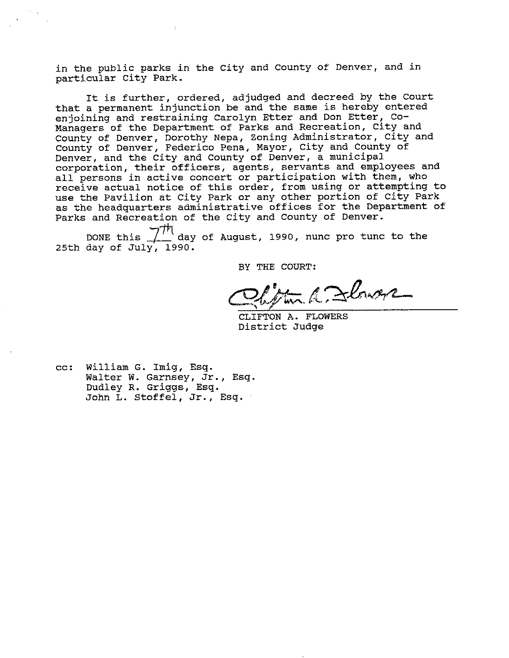in the public parks in the City and County of Denver, and in particular City Park.

It is further, ordered, adjudged and decreed by the Court that a permanent injunction be and the same is hereby entered enjoining and restraining Carolyn Etter and Don Etter, Co-Managers of the Department of Parks and Recreation, City and County of Denver, Dorothy Nepa, Zoning Administrator, City and County of Denver, Federico Pena, Mayor, City and County of Denver, and the City and County of Denver, a municipal corporation, their officers, agents, servants and employees and all persons in active concert or participation with them, who receive actual notice of this order, from using or attempting to use the Pavilion at City Park or any other portion of City Park as the headquarters administrative offices for the Department of Parks and Recreation of the City and County of Denver.

DONE this  $\frac{1}{2}$  day of August, 1990, nunc pro tunc to the 25th day of July, 1990.

BY THE COURT:

**^^£>fc;. /LC^-^-^V ^**

CLIFTON A. FLOWERS District Judge

cc: William G. Imig, Esq. Walter W. Garnsey, Jr., Esq. Dudley R. Griggs, Esq. John L. Stoffel, Jr., Esq.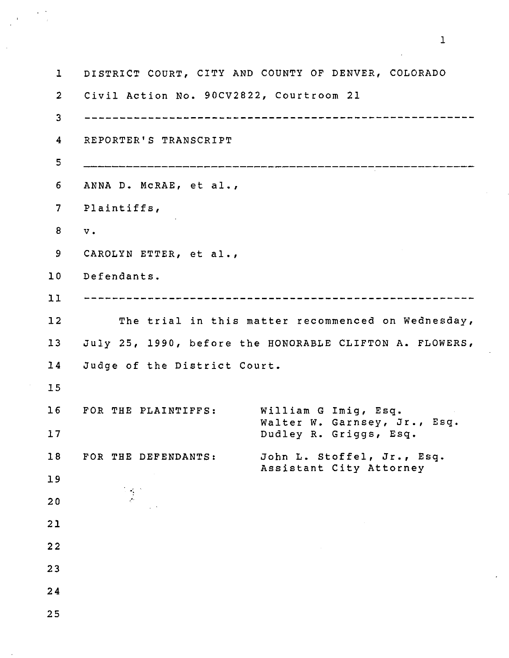1 DISTRICT COURT, CITY AND COUNTY OF DENVER, COLORADO 2 Civil Action No. 90CV2822, Courtroom 21 3 4 REPORTER'S TRANSCRIPT 5 6 ANNA D. McRAE, et al., 7 Plaintiffs, 8 V . 9 CAROLYN ETTER, et al.. 10 Defendants. 11 12 The trial in this matter recommenced on Wednesday, 13 July 25, 1990, before the HONORABLE CLIFTON A. FLOWERS, 14 Judge of the District Court. 15 16 FOR THE PLAINTIFFS: William G Imig, Esq. Walter W. Garnsey, Jr., Esq 17 Dudley R. Griggs, Esq. 18 FOR THE DEFENDANTS: John L. Stoffel, Jr., Esq. Assistant City Attorney 19 20 21 22 23 24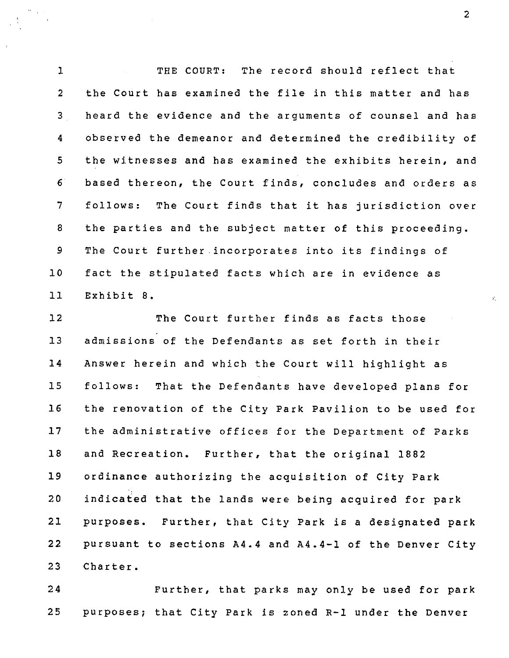1 THE COURT: The record should reflect that 2 the Court has examined the file in this matter and has 3 heard the evidence and the arguments of counsel and has 4 observed the demeanor and determined the credibility of 5 the witnesses and has examined the exhibits herein, and 6 based thereon, the Court finds, concludes and orders as 7 follows: The Court finds that it has jurisdiction over 8 the parties and the subject matter of this proceeding. 9 The Court further incorporates into its findings of 10 fact the stipulated facts which are in evidence as 11 Exhibit 8.

12 The Court further finds as facts those 13 admissions of the Defendants as set forth in their 14 Answer herein and which the Court will highlight as 15 follows: That the Defendants have developed plans for 16 the renovation of the City Park Pavilion to be used for 17 the administrative offices for the Department of Parks 18 and Recreation. Further, that the original 1882 19 ordinance authorizing the acquisition of City Park 20 indicated that the lands were being acquired for park 21 purposes. Further, that City Park is a designated park 22 pursuant to sections A4.4 and A4.4-1 of the Denver City 23 Charter.

24 Further, that parks may only be used for park 25 purposes; that City Park is zoned R-1 under the Denver

 $\overline{2}$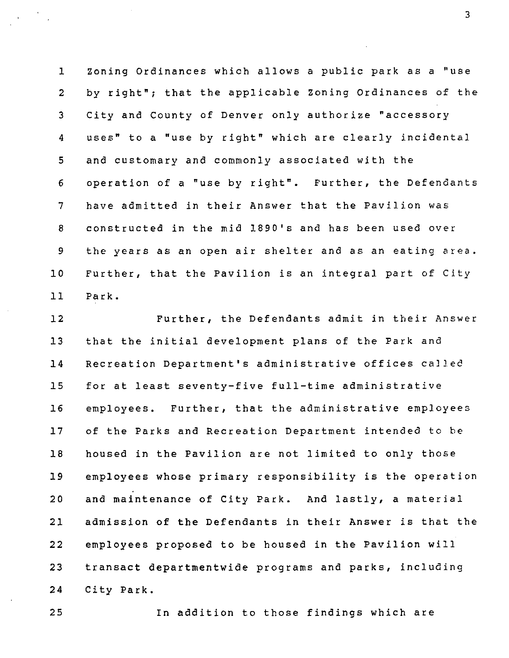1 Zoning Ordinances which allows a public park as a "use 2 by right"; that the applicable Zoning Ordinances of the 3 City and County of Denver only authorize "accessory 4 uses" to a "use by right" which are clearly incidental 5 and customary and commonly associated with the 6 operation of a "use by right". Further, the Defendants 7 have admitted in their Answer that the Pavilion was 8 constructed in the mid 189O's and has been used over 9 the years as an open air shelter and as an eating area. 10 Further, that the Pavilion is an integral part of City 11 Park.

12 Further, the Defendants admit in their Answer 13 that the initial development plans of the Park and 14 Recreation Department's administrative offices called 15 for at least seventy-five full-time administrative 16 employees. Further, that the administrative employees 17 of the Parks and Recreation Department intended to be 18 housed in the Pavilion are not limited to only those 19 employees whose primary responsibility is the operation 20 and maintenance of City Park. And lastly, a material 21 admission of the Defendants in their Answer is that the 22 employees proposed to be housed in the Pavilion will 23 transact departmentwide programs and parks, including 24 City Park.

25 In addition to those findings which are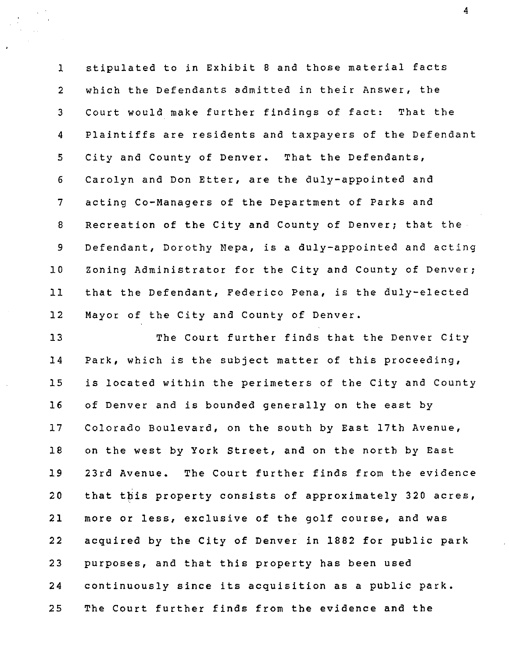1 stipulated to in Exhibit 8 and those material facts 2 which the Defendants admitted in their Answer, the 3 Court would make further findings of fact: That the 4 Plaintiffs are residents and taxpayers of the Defendant 5 City and County of Denver. That the Defendants, 6 Carolyn and Don Etter, are the duly-appointed and 7 acting Co-Managers of the Department of Parks and 8 Recreation of the City and County of Denver; that the 9 Defendant, Dorothy Nepa, is a duly-appointed and acting 10 Zoning Administrator for the City and County of Denver; 11 that the Defendant, Federico Pena, is the duly-elected 12 Mayor of the City and County of Denver.

13 The Court further finds that the Denver City 14 Park, which is the subject matter of this proceeding, 15 is located within the perimeters of the City and County 16 of Denver and is bounded generally on the east by 17 Colorado Boulevard, on the south by East 17th Avenue, 18 on the west by York Street, and on the north by East 19 23rd Avenue. The Court further finds from the evidence 20 that this property consists of approximately 320 acres, 21 more or less, exclusive of the golf course, and was 22 acquired by the City of Denver in 1882 for public park 23 purposes, and that this property has been used 24 continuously since its acquisition as a public park. 25 The Court further finds from the evidence and the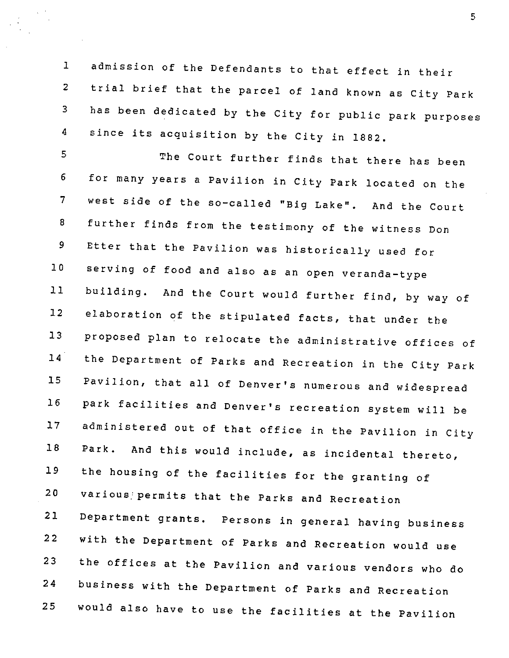1 admission of the Defendants to that effect in their 2 trial brief that the parcel of land known as City Park 3 has been dedicated by the City for public park purposes 4 since its acquisition by the City in 1882.

5 The Court further finds that there has been 6 for many years a Pavilion in City Park located on the 7 west side of the so-called "Big Lake". And the Court 8 further finds from the testimony of the witness Don 9 Etter that the Pavilion was historically used for 10 serving of food and also as an open veranda-type 11 building. And the Court would further find, by way of 12 elaboration of the stipulated facts, that under the 13 proposed plan to relocate the administrative offices of 14 the Department of Parks and Recreation in the City Park 15 Pavilion, that all of Denver's numerous and widespread 16 park facilities and Denver's recreation system will be 17 administered out of that office in the Pavilion in City 18 Park. And this would include, as incidental thereto, 19 the housing of the facilities for the granting of 20 various, permits that the Parks and Recreation 21 Department grants. Persons in general having business 22 with the Department of Parks and Recreation would use 23 the offices at the Pavilion and various vendors who do 24 business with the Department of Parks and Recreation 25 would also have to use the facilities at the Pavilion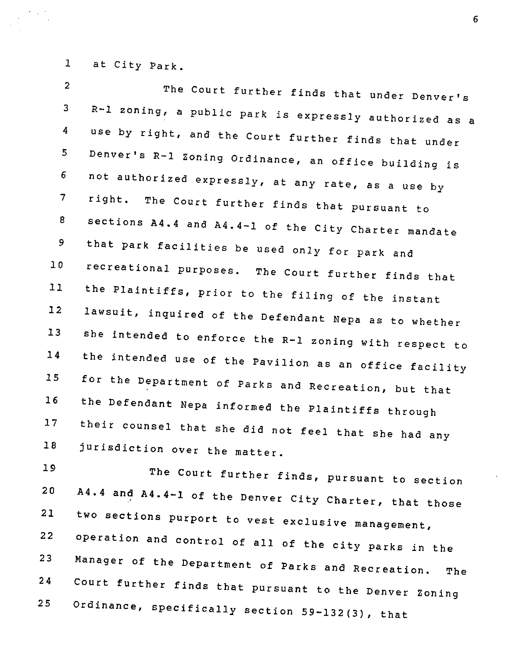1 at City Park

19

2 3 4 5 6 The Court further finds that under Denver's R-1 zoning, a public park is expressly authorized as a use by right, and the Court further finds that under Denver's R-1 zoning Ordinance, an office building is not authorized expressly, at any rate, as a use by ^ right. The Court further finds that pursuant to sections A4.4 and A4.4-1 of the City Charter mandate that park facilities be used only for park and recreational purposes. The Court further finds that the Plaintiffs, prior to the filing of the instant lawsuit, inquired of the Defendant Nepa as to whether She intended to enforce the R-1 zoning with respect to the intended use of the Pavilion as an office facility for the Department of Parks and Recreation, but that the Defendant Nepa informed the Plaintiffs through their counsel that she did not feel that she had any 8 9 10 11 12 13 14 15 16 17 18 jurisdiction over the matter.

20 21 22 23 24 The Court further finds, pursuant to section A4.4 and A4.4-1 of the Denver City Charter, that those two sections purport to vest exclusive management, operation and control of all of the city parks in the Manager of the Department of Parks and Recreation. The court further finds that pursuant to the Denver Zoning 25 Ordinance, specifically section 59-132(3), that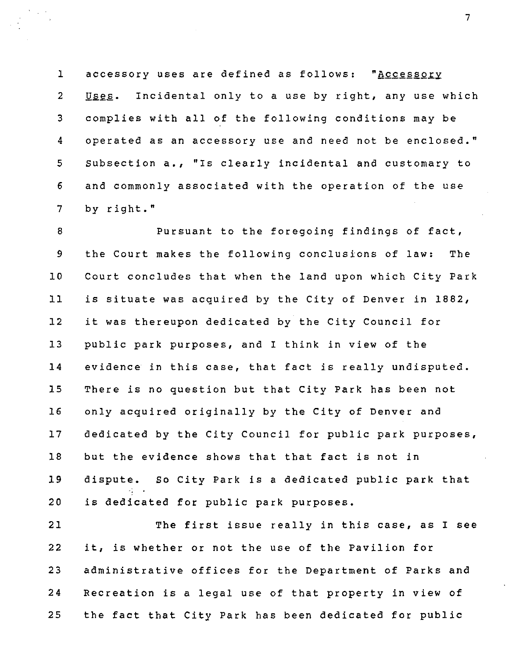1 accessory uses are defined as follows: "Accessory 2 Uses. Incidental only to a use by right, any use which 3 complies with all of the following conditions may be 4 operated as an accessory use and need not be enclosed." 5 Subsection a., "Is clearly incidental and customary to 6 and commonly associated with the operation of the use 7 by right."

8 Pursuant to the foregoing findings of fact, 9 the Court makes the following conclusions of law: The 10 Court concludes that when the land upon which City Park 11 is situate was acquired by the City of Denver in 1882, 12 it was thereupon dedicated by the City Council for 13 public park purposes, and I think in view of the 14 evidence in this case, that fact is really undisputed. 15 There is no question but that City Park has been not 16 only acquired originally by the City of Denver and 17 dedicated by the City Council for public park purposes, 18 but the evidence shows that that fact is not in 19 dispute. So City Park is a dedicated public park that 20 is dedicated for public park purposes.

21 The first issue really in this case, as I see 22 it, is whether or not the use of the Pavilion for 23 administrative offices for the Department of Parks and 24 Recreation is a legal use of that property in view of 25 the fact that City Park has been dedicated for public

 $\overline{7}$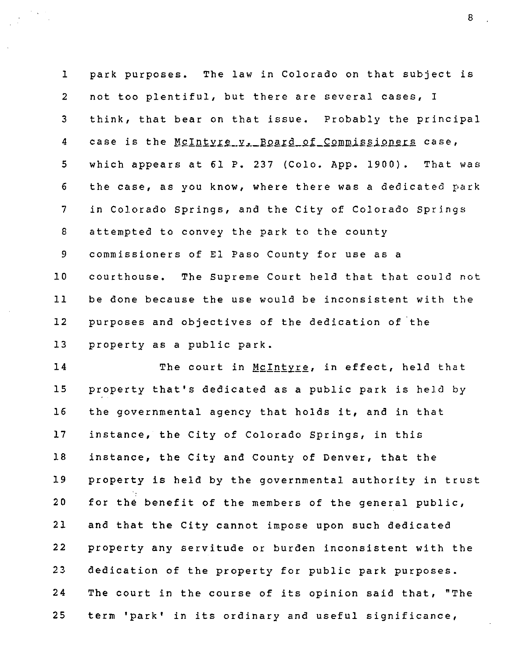1 park purposes. The law in Colorado on that subject is 2 not too plentiful, but there are several cases, I 3 think, that bear on that issue. Probably the principal 4 case is the McIntyre\_v. Board\_of\_Commissioners case, 5 which appears at 61 P. 237 (Colo. App. 1900). That was 6 the case, as you know, where there was a dedicated park 7 in Colorado Springs, and the City of Colorado Springs 8 attempted to convey the park to the county 9 commissioners of El Paso County for use as a 10 courthouse. The Supreme Court held that that could not 11 be done because the use would be inconsistent with the 12 purposes and objectives of the dedication of the 13 property as a public park.

14 The court in McIntyre, in effect, held that 15 property that's dedicated as a public park is held by 16 the governmental agency that holds it, and in that 17 instance, the City of Colorado Springs, in this 18 instance, the City and County of Denver, that the 19 property is held by the governmental authority in trust 20 for the benefit of the members of the general public, 21 and that the City cannot impose upon such dedicated 22 property any servitude or burden inconsistent with the 23 dedication of the property for public park purposes. 24 The court in the course of its opinion said that, "The 25 term 'park' in its ordinary and useful significance.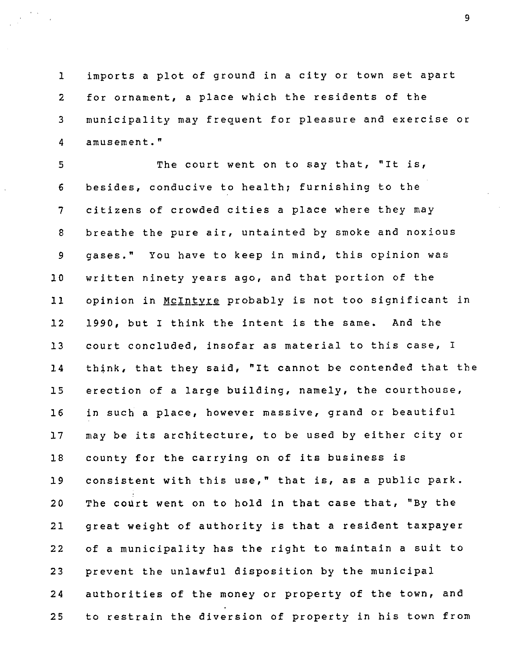1 imports a plot of ground in a city or town set apart 2 for ornament, a place which the residents of the 3 municipality may frequent for pleasure and exercise or 4 amusement."

5 The court went on to say that, "It is, 6 besides, conducive to health; furnishing to the 7 citizens of crowded cities a place where they may 8 breathe the pure air, untainted by smoke and noxious 9 gases." You have to keep in mind, this opinion was 10 written ninety years ago, and that portion of the 11 opinion in McIntyre probably is not too significant in 12 1990, but I think the intent is the same. And the 13 court concluded, insofar as material to this case, I 14 think, that they said, "It cannot be contended that the 15 erection of a large building, namely, the courthouse, 16 in such a place, however massive, grand or beautiful 17 may be its architecture, to be used by either city or 18 county for the carrying on of its business is 19 consistent with this use," that is, as a public park. 20 The court went on to hold in that case that, "By the 21 great weight of authority is that a resident taxpayer 22 of a municipality has the right to maintain a suit to 23 prevent the unlawful disposition by the municipal 24 authorities of the money or property of the town, and 25 to restrain the diversion of property in his town from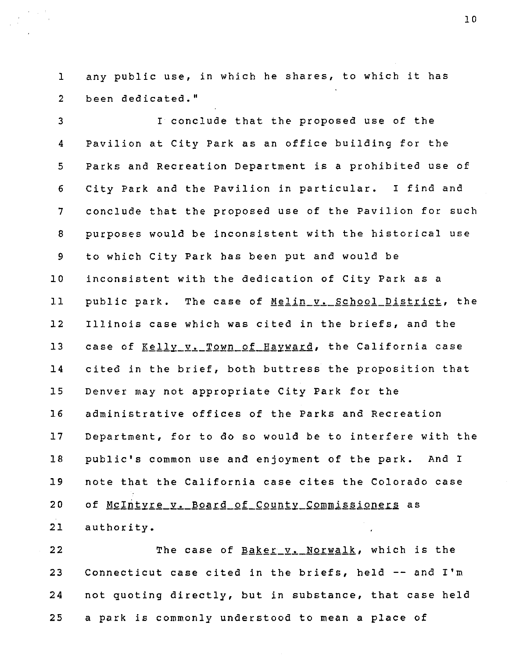1 any public use, in which he shares, to which it has 2 been dedicated."

3 I conclude that the proposed use of the 4 Pavilion at City Park as an office building for the 5 Parks and Recreation Department is a prohibited use of 6 City Park and the Pavilion in particular. I find and 7 conclude that the proposed use of the Pavilion for such 8 purposes would be inconsistent with the historical use 9 to which City Park has been put and would be 10 inconsistent with the dedication of City Park as a 11 public park. The case of Melin v. School District, the 12 Illinois case which was cited in the briefs, and the 13 case of Kelly v. Town of Hayward, the California case 14 cited in the brief, both buttress the proposition that 15 Denver may not appropriate City Park for the 16 administrative offices of the Parks and Recreation 17 Department, for to do so would be to interfere with the 18 public's common use and enjoyment of the park. And I 19 note that the California case cites the Colorado case 20 of McIntyre v. Board of County Commissioners as 21 authority.

22 The case of Baker v. Norwalk, which is the 23 Connecticut case cited in the briefs, held -- and I'm 24 not quoting directly, but in substance, that case held 25 a park is commonly understood to mean a place of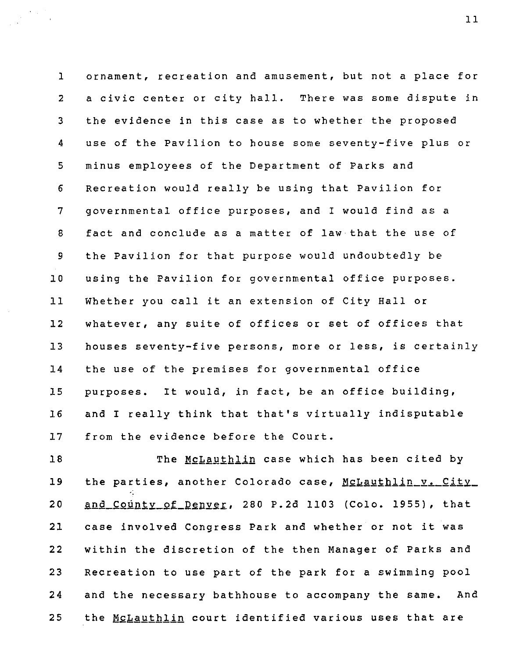1 ornament, recreation and amusement, but not a place for 2 a civic center or city hall. There was some dispute in 3 the evidence in this case as to whether the proposed 4 use of the Pavilion to house some seventy-five plus or 5 minus employees of the Department of Parks and 6 Recreation would really be using that Pavilion for 7 governmental office purposes, and I would find as a 8 fact and conclude as a matter of law that the use of 9 the Pavilion for that purpose would undoubtedly be 10 using the Pavilion for governmental office purposes. 11 Whether you call it an extension of City Hall or 12 whatever, any suite of offices or set of offices that 13 houses seventy-five persons, more or less, is certainly 14 the use of the premises for governmental office 15 purposes. It would, in fact, be an office building, 16 and I really think that that's virtually indisputable 17 from the evidence before the Court.

18 The McLauthlin case which has been cited by 19 the parties, another Colorado case, McLauthlin\_v. City\_ 20 and County of Denver, 280 P.2d 1103 (Colo. 1955), that 21 case involved Congress Park and whether or not it was 22 within the discretion of the then Manager of Parks and 23 Recreation to use part of the park for a swimming pool 24 and the necessary bathhouse to accompany the same. And 25 the McLauthlin court identified various uses that are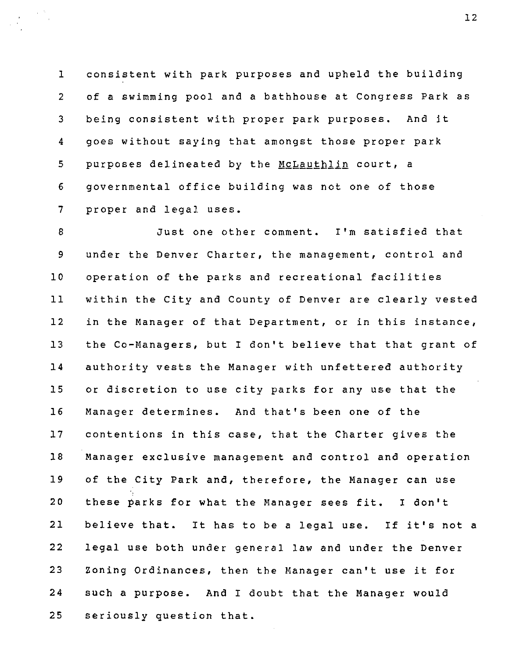1 consistent with park purposes and upheld the building 2 of a swimming pool and a bathhouse at Congress Park as 3 being consistent with proper park purposes. And it 4 goes without saying that amongst those proper park 5 purposes delineated by the McLauthlin court, a 6 governmental office building was not one of those 7 proper and legal uses.

8 Just one other comment. I'm satisfied that 9 under the Denver Charter, the management, control and 10 operation of the parks and recreational facilities 11 within the City and County of Denver are clearly vested 12 in the Manager of that Department, or in this instance, 13 the Co-Managers, but I don't believe that that grant of 14 authority vests the Manager with unfettered authority 15 or discretion to use city parks for any use that the 16 Manager determines. And that's been one of the 17 contentions in this case, that the Charter gives the 18 Manager exclusive management and control and operation 19 of the City Park and, therefore, the Manager can use 20 these parks for what the Manager sees fit. I don't 21 believe that. It has to be a legal use. If it's not a 22 legal use both under general law and under the Denver 23 Zoning Ordinances, then the Manager can't use it for 24 such a purpose. And I doubt that the Manager would 25 seriously question that.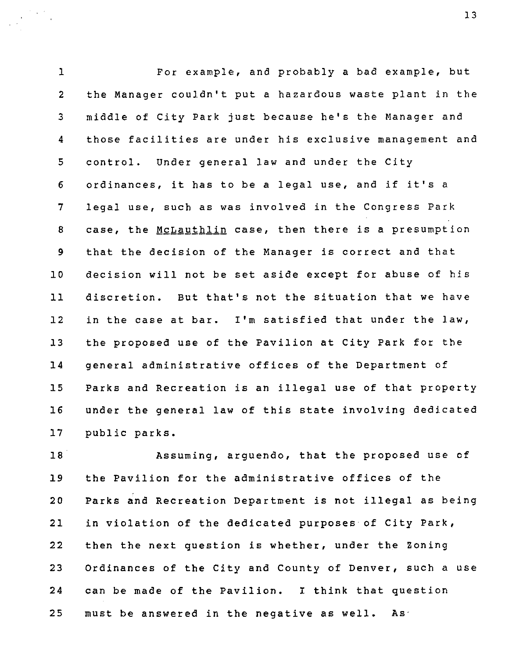1 For example, and probably a bad example/ but 2 the Manager couldn't put a hazardous waste plant in the 3 middle of City Park just because he's the Manager and 4 those facilities are under his exclusive management and 5 control. Under general law and under the City 6 ordinances, it has to be a legal use, and if it's a 7 legal use, such as was involved in the Congress Park 8 case, the McLauthlin case, then there is a presumption 9 that the decision of the Manager is correct and that 10 decision will not be set aside except for abuse of his 11 discretion. But that's not the situation that we have 12 in the case at bar. I'm satisfied that under the law, 13 the proposed use of the Pavilion at City Park for the 14 general administrative offices of the Department of 15 Parks and Recreation is an illegal use of that property 16 under the general law of this state involving dedicated 17 public parks.

18 Assuming, arguendo, that the proposed use of 19 the Pavilion for the administrative offices of the 20 Parks and Recreation Department is not illegal as being 21 in violation of the dedicated purposes of City Park, 22 then the next question is whether, under the Zoning 23 Ordinances of the City and County of Denver, such a use 24 can be made of the Pavilion. I think that question 25 must be answered in the negative as well. As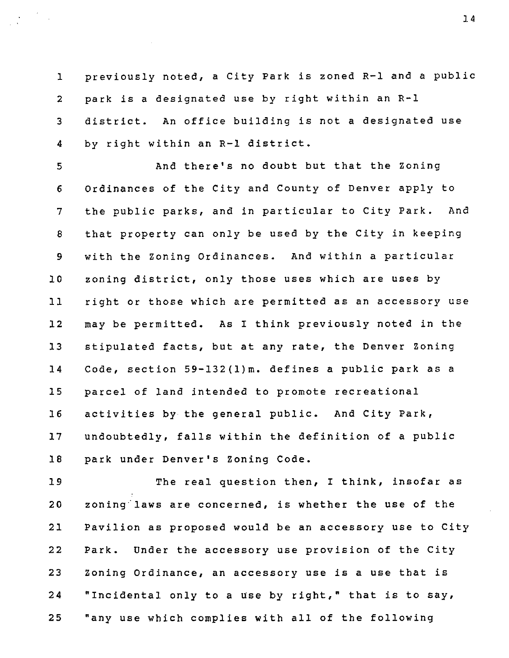1 previously noted, a City Park is zoned R-1 and a public 2 park is a designated use by right within an R-1 3 district. An office building is not a designated use 4 by right within an R-1 district.

5 And there's no doubt but that the Zoning 6 Ordinances of the City and County of Denver apply to 7 the public parks, and in particular to City Park. And 8 that property can only be used by the City in keeping 9 with the Zoning Ordinances. And within a particular 10 zoning district, only those uses which are uses by 11 right or those which are permitted as an accessory use 12 may be permitted. As I think previously noted in the 13 stipulated facts, but at any rate, the Denver Zoning 14 Code, section 59-132(l)m. defines a public park as a 15 parcel of land intended to promote recreational 16 activities by the general public. And City Park, 17 undoubtedly, falls within the definition of a public 18 park under Denver's Zoning Code.

19 The real question then, I think, insofar as 20 zoning laws are concerned, is whether the use of the 21 Pavilion as proposed would be an accessory use to City 22 Park. Under the accessory use provision of the City 23 Zoning Ordinance, an accessory use is a use that is 24 "Incidental only to a use by right," that is to say, 25 "any use which complies with all of the following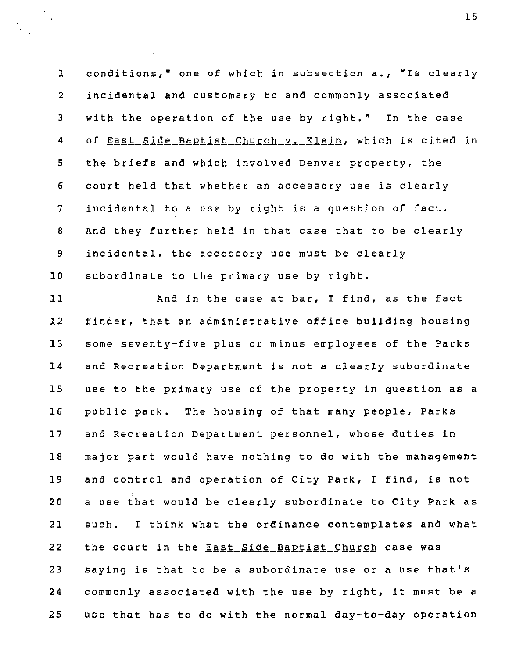1 conditions," one of which in subsection a., "Is clearly 2 incidental and customary to and commonly associated 3 with the operation of the use by right." In the case 4 of East Side Baptist Church v. Klein, which is cited in 5 the briefs and which involved Denver property, the 6 court held that whether an accessory use is clearly 7 incidental to a use by right is a question of fact. 8 And they further held in that case that to be clearly 9 incidental, the accessory use must be clearly 10 subordinate to the primary use by right.

11 And in the case at bar, I find, as the fact 12 finder, that an administrative office building housing 13 some seventy-five plus or minus employees of the Parks 14 and Recreation Department is not a clearly subordinate 15 use to the primary use of the property in question as a 16 public park. The housing of that many people. Parks 17 and Recreation Department personnel, whose duties in 18 major part would have nothing to do with the management 19 and control and operation of City Park, I find, is not 20 a use that would be clearly subordinate to City Park as 21 such. I think what the ordinance contemplates and what 22 the court in the **East Side Baptist Church** case was 23 saying is that to be a subordinate use or a use that's 24 commonly associated with the use by right, it must be a 25 use that has to do with the normal day-to-day operation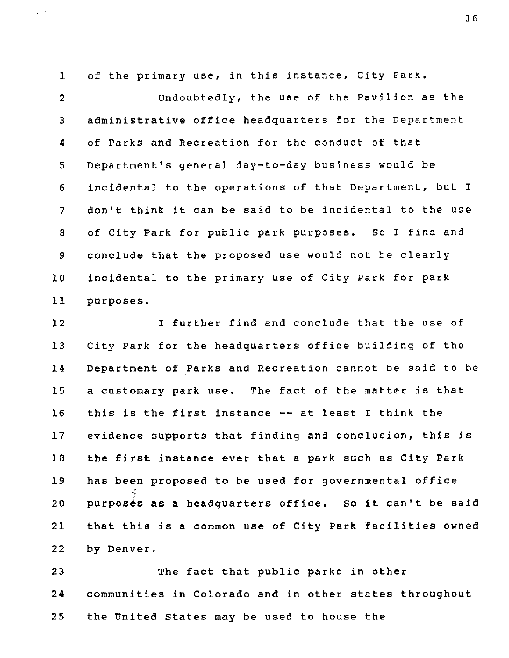1 of the primary use, in this instance, City Park.

2 Undoubtedly, the use of the Pavilion as the 3 administrative office headquarters for the Department 4 of Parks and Recreation for the conduct of that 5 Department's general day-to-day business would be 6 incidental to the operations of that Department, but I 7 don't think it can be said to be incidental to the use 8 of City Park for public park purposes. So I find and 9 conclude that the proposed use would not be clearly 10 incidental to the primary use of City Park for park 11 purposes.

12 I further find and conclude that the use of 13 City Park for the headquarters office building of the 14 Department of Parks and Recreation cannot be said to be 15 a customary park use. The fact of the matter is that 16 this is the first instance -- at least I think the 17 evidence supports that finding and conclusion, this is 18 the first instance ever that a park such as City Park 19 has been proposed to be used for governmental office 20 purposes as a headquarters office. So it can't be said 21 that this is a common use of City Park facilities owned 22 by Denver.

23 The fact that public parks in other 24 communities in Colorado and in other states throughout 25 the United States may be used to house the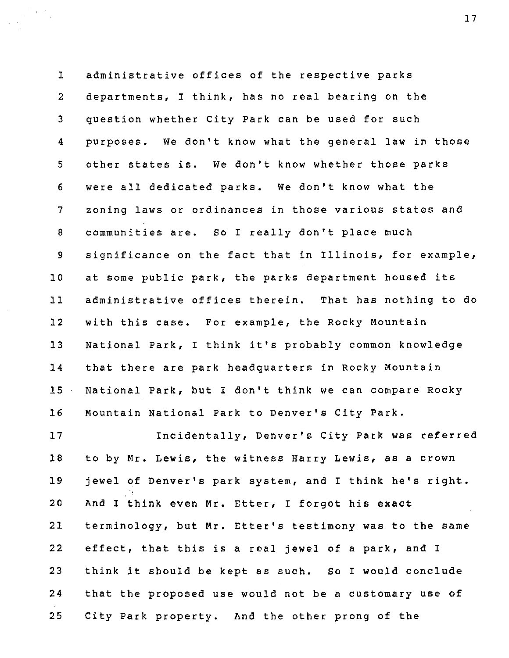1 administrative offices of the respective parks 2 departments, I think, has no real bearing on the 3 question whether City Park can be used for such 4 purposes. We don't know what the general law in those 5 other states is. We don't know whether those parks 6 were all dedicated parks. We don't know what the 7 zoning laws or ordinances in those various states and 8 communities are. So I really don't place much 9 significance on the fact that in Illinois, for example, 10 at some public park, the parks department housed its 11 administrative offices therein. That has nothing to do 12 with this case. For example, the Rocky Mountain 13 National Park, I think it's probably common knowledge 14 that there are park headquarters in Rocky Mountain 15 National Park, but I don't think we can compare Rocky 16 Mountain National Park to Denver's City Park.

17 Incidentally, Denver's City Park was referred 18 to by Mr. Lewis, the witness Harry Lewis, as a crown 19 jewel of Denver's park system, and I think he's right. 20 And I think even Mr. Etter, I forgot his exact 21 terminology, but Mr. Etter's testimony was to the same 22 effect, that this is a real jewel of a park, and I 23 think it should be kept as such. So I would conclude 24 that the proposed use would not be a customary use of 25 City Park property. And the other prong of the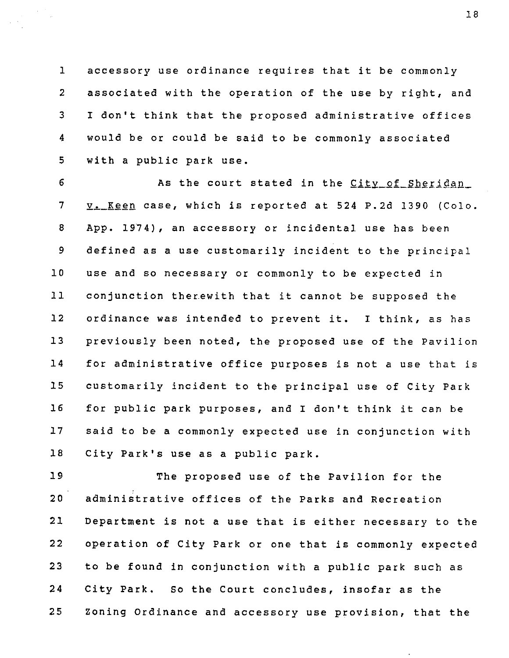1 accessory use ordinance requires that it be commonly 2 associated with the operation of the use by right, and 3 I don't think that the proposed administrative offices 4 would be or could be said to be commonly associated 5 with a public park use.

6 As the court stated in the City of Sheridan 7 **v. Keen case, which is reported at 524 P.2d 1390 (Colo.** 8 App. 1974), an accessory or incidental use has been 9 defined as a use customarily incident to the principal 10 use and so necessary or commonly to be expected in 11 conjunction therewith that it cannot be supposed the 12 ordinance was intended to prevent it. I think, as has 13 previously been noted, the proposed use of the Pavilion 14 for administrative office purposes is not a use that is 15 customarily incident to the principal use of City Park 16 for public park purposes, and I don't think it can be 17 said to be a commonly expected use in conjunction with 18 City Park's use as a public park.

19 The proposed use of the Pavilion for the 20 administrative offices of the Parks and Recreation 21 Department is not a use that is either necessary to the 22 operation of City Park or one that is commonly expected 23 to be found in conjunction with a public park such as 24 City Park. So the Court concludes, insofar as the 25 Zoning Ordinance and accessory use provision, that the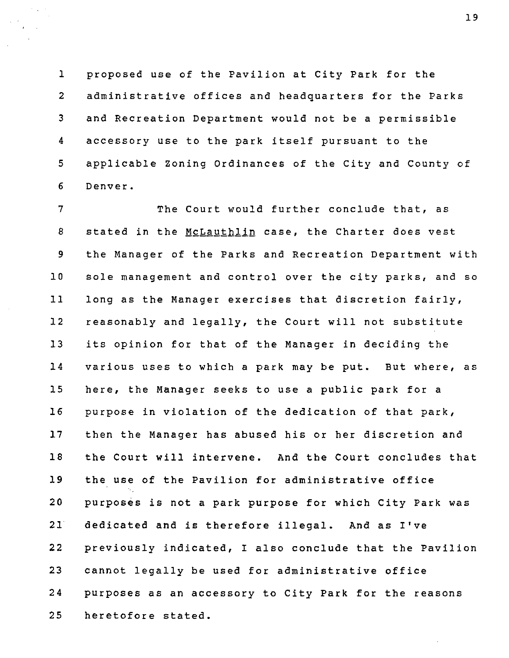1 proposed use of the Pavilion at City Park for the 2 administrative offices and headquarters for the Parks 3 and Recreation Department would not be a permissible 4 accessory use to the park itself pursuant to the 5 applicable Zoning Ordinances of the City and County of 6 Denver.

7 The Court would further conclude that, as 8 stated in the McLauthlin case, the Charter does vest 9 the Manager of the Parks and Recreation Department with 10 sole management and control over the city parks, and so 11 long as the Manager exercises that discretion fairly, 12 reasonably and legally, the Court will not substitute 13 its opinion for that of the Manager in deciding the 14 various uses to which a park may be put. But where, as 15 here, the Manager seeks to use a public park for a 16 purpose in violation of the dedication of that park, 17 then the Manager has abused his or her discretion and 18 the Court will intervene. And the Court concludes that 19 the use of the Pavilion for administrative office 20 purposes is not a park purpose for which City Park was 21 dedicated and is therefore illegal. And as I've 22 previously indicated, I also conclude that the Pavilion 23 cannot legally be used for administrative office 24 purposes as an accessory to City Park for the reasons 25 heretofore stated.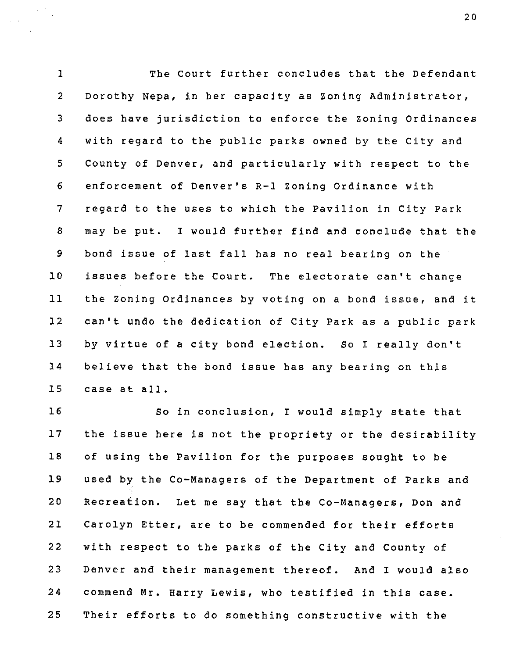1 The Court further concludes that the Defendant 2 Dorothy Nepa, in her capacity as Zoning Administrator, 3 does have jurisdiction to enforce the Zoning Ordinances 4 with regard to the public parks owned by the City and 5 County of Denver, and particularly with respect to the 6 enforcement of Denver's R-1 Zoning Ordinance with 7 regard to the uses to which the Pavilion in City Park 8 may be put. I would further find and conclude that the 9 bond issue of last fall has no real bearing on the 10 issues before the Court. The electorate can't change 11 the Zoning Ordinances by voting on a bond issue, and it 12 can't undo the dedication of City Park as a public park 13 by virtue of a city bond election. So I really don't 14 believe that the bond issue has any bearing on this 15 case at all.

16 So in conclusion, I would simply state that 17 the issue here is not the propriety or the desirability 18 of using the Pavilion for the purposes sought to be 19 used by the Co-Managers of the Department of Parks and 20 Recreation. Let me say that the Co-Managers, Don and 21 Carolyn Etter, are to be commended for their efforts 22 with respect to the parks of the City and County of 23 Denver and their management thereof. And I would also 24 commend Mr. Harry Lewis, who testified in this case. 25 Their efforts to do something constructive with the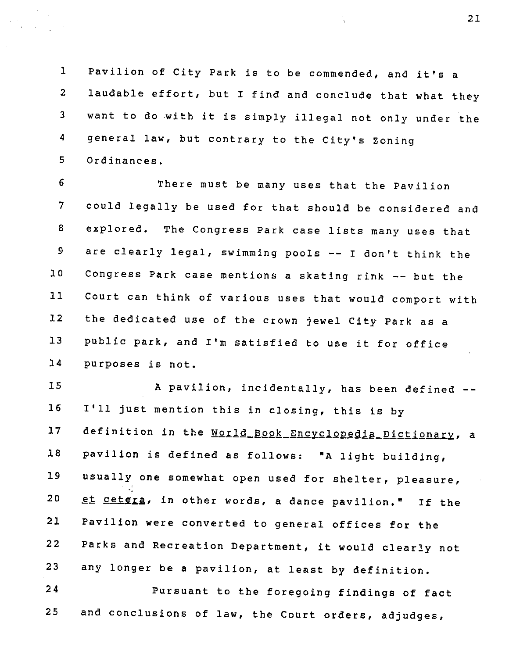1 Pavilion of City Park is to be commended, and it's a 2 laudable effort, but I find and conclude that what they 3 want to do with it is simply illegal not only under the 4 general law, but contrary to the City's Zoning 5 Ordinances.

6 There must be many uses that the Pavilion 7 could legally be used for that should be considered and 8 explored. The Congress Park case lists many uses that 9 are clearly legal, swimming pools -- I don't think the 10 Congress Park case mentions a skating rink -- but the 11 Court can think of various uses that would comport with 12 the dedicated use of the crown jewel City Park as a 13 public park, and I'm satisfied to use it for office 14 purposes is not.

15 A pavilion, incidentally, has been defined --16 I'll just mention this in closing, this is by 17 definition in the World\_Book\_Encyclopedia\_Dictionary, a 18 pavilion is defined as follows: "A light building, 19 usually one somewhat open used for shelter, pleasure, 20 et cetera, in other words, a dance pavilion." If the 21 Pavilion were converted to general offices for the 22 Parks and Recreation Department, it would clearly not 23 any longer be a pavilion, at least by definition. 24 Pursuant to the foregoing findings of fact 25 and conclusions of law, the Court orders, adjudges.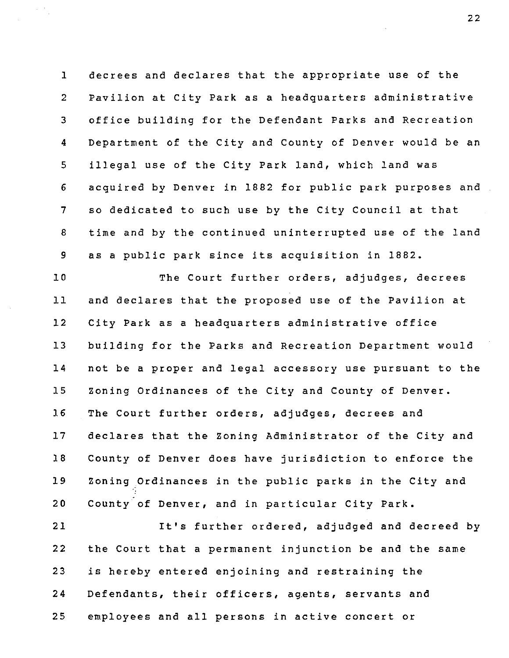1 decrees and declares that the appropriate use of the 2 Pavilion at City Park as a headquarters administrative 3 office building for the Defendant Parks and Recreation 4 Department of the City and County of Denver would be an 5 illegal use of the City Park land, which land was 6 acquired by Denver in 1882 for public park purposes and 7 so dedicated to such use by the City Council at that 8 time and by the continued uninterrupted use of the land 9 as a public park since its acquisition in 1882.

10 The Court further orders, adjudges, decrees 11 and declares that the proposed use of the Pavilion at 12 City Park as a headquarters administrative office 13 building for the Parks and Recreation Department would 14 not be a proper and legal accessory use pursuant to the 15 Zoning Ordinances of the City and County of Denver. 16 The Court further orders, adjudges, decrees and 17 declares that the Zoning Administrator of the City and 18 County of Denver does have jurisdiction to enforce the 19 Zoning Ordinances in the public parks in the City and 20 County of Denver, and in particular City Park.

21 It's further ordered, adjudged and decreed by 22 the Court that a permanent injunction be and the same 23 is hereby entered enjoining and restraining the 24 Defendants, their officers, agents, servants and 25 employees and all persons in active concert or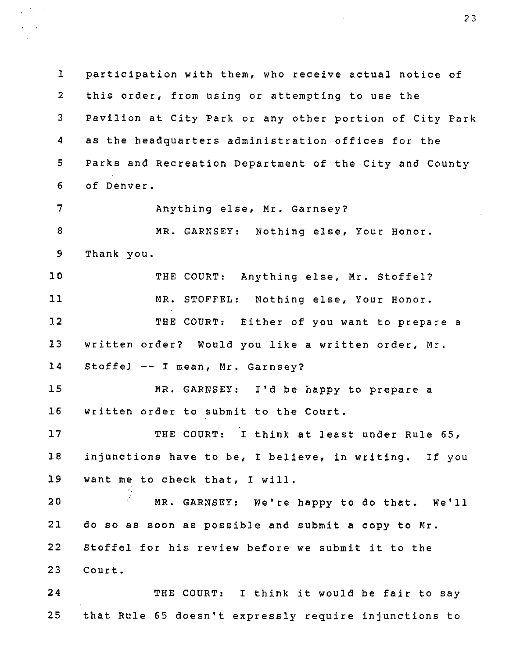1 participation with them, who receive actual notice of 2 this order, from using or attempting to use the 3 Pavilion at City Park or any other portion of City Park 4 as the headquarters administration offices for the 5 Parks and Recreation Department of the City and County 6 of Denver. 7 Anything else, Mr. Garnsey? 8 MR. GARNSEY: Nothing else, Your Honor. 9 Thank you. 10 THE COURT: Anything else, Mr. Stoffel? 11 MR. STOFFEL: Nothing else. Your Honor. 12 THE COURT: Either of you want to prepare a 13 written order? Would you like a written order, Mr. 14 Stoffel -- I mean, Mr. Garnsey? 15 MR. GARNSEY: I'd be happy to prepare a 16 written order to submit to the Court. 17 THE COURT: I think at least under Rule 65, 18 injunctions have to be, I believe, in writing. If you 19 want me to check that, I will. 20 •' MR. GARNSEY: We're happy to do that. We'll 21 do so as soon as possible and submit a copy to Mr. 22 Stoffel for his review before we submit it to the 23 Court. 24 THE COURT: I think it would be fair to say 25 that Rule 65 doesn't expressly require injunctions to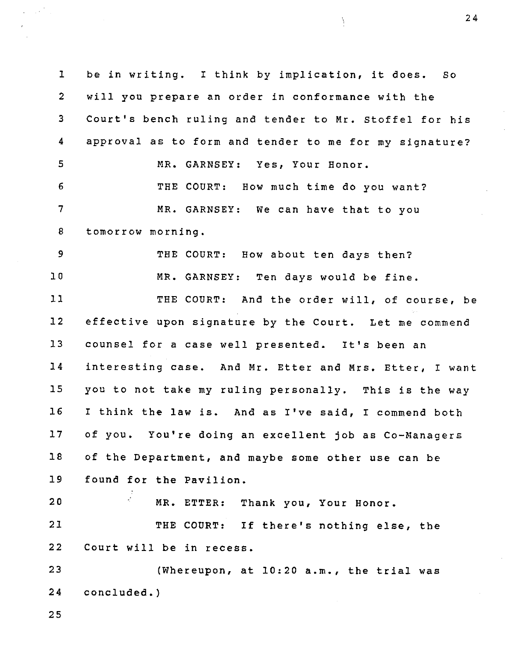1 be in writing. I think by implication, it does. So 2 will you prepare an order in conformance with the 3 Court's bench ruling and tender to Mr. Stoffel for his 4 approval as to form and tender to me for my signature? 5 MR. GARNSEY: Yes, Your Honor. 6 THE COURT: How much time do you want? 7 MR. GARNSEY: We can have that to you 8 tomorrow morning. 9 THE COURT: How about ten days then? 10 MR. GARNSEY: Ten days would be fine. 11 THE COURT: And the order will, of course, be 12 effective upon signature by the Court. Let me commend 13 counsel for a case well presented. It's been an 14 interesting case. And Mr. Etter and Mrs. Etter, I want 15 you to not take my ruling personally. This is the way 16 I think the law is. And as I've said, I commend both 17 of you. You're doing an excellent job as Co-Managers 18 of the Department, and maybe some other use can be 19 found for the Pavilion. 20 ' MR. ETTER: Thank you. Your Honor. 21 THE COURT: If there's nothing else, the 22 Court will be in recess. 23 (Whereupon, at 10:20 a.m., the trial was 24 concluded.)

25

24

Ì,